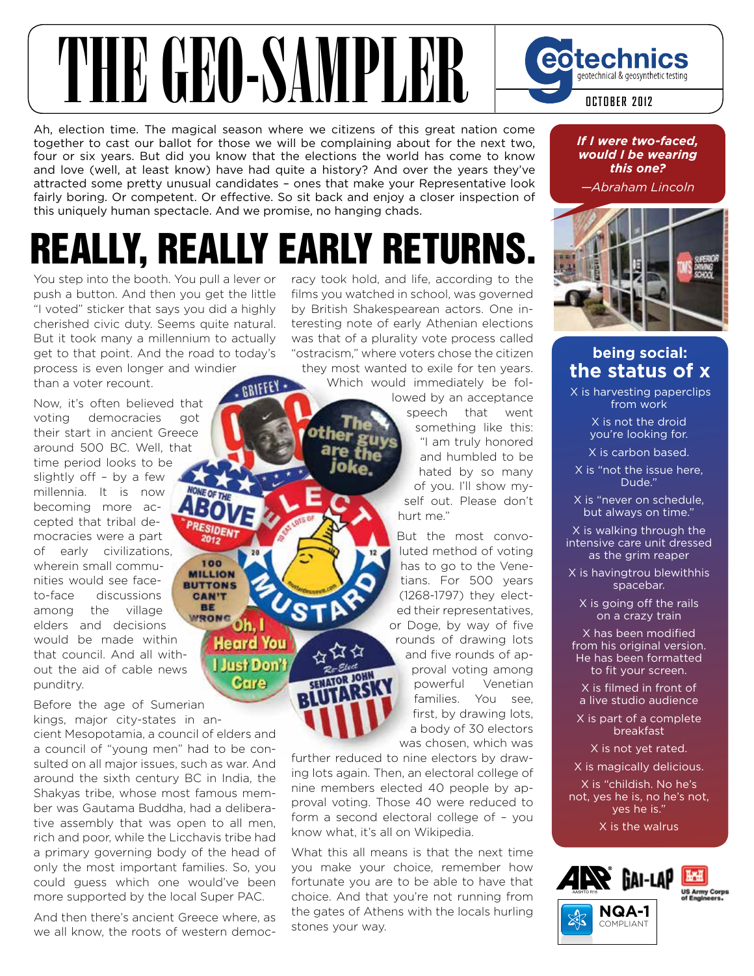# THE GEO-SAMPLE

Ah, election time. The magical season where we citizens of this great nation come together to cast our ballot for those we will be complaining about for the next two, four or six years. But did you know that the elections the world has come to know and love (well, at least know) have had quite a history? And over the years they've attracted some pretty unusual candidates – ones that make your Representative look fairly boring. Or competent. Or effective. So sit back and enjoy a closer inspection of this uniquely human spectacle. And we promise, no hanging chads.

## Really, Really eaRly RetuRns.

GRIFFEY

100

**CAN'T** BE

> Oh. I **Heard You Just Don't** Care

You step into the booth. You pull a lever or push a button. And then you get the little "I voted" sticker that says you did a highly cherished civic duty. Seems quite natural. But it took many a millennium to actually get to that point. And the road to today's process is even longer and windier

than a voter recount.

Now, it's often believed that voting democracies got their start in ancient Greece around 500 BC. Well, that time period looks to be slightly off – by a few millennia. It is now becoming more accepted that tribal democracies were a part of early civilizations, wherein small commu-**MILLION** nities would see face-**BUTTONS** to-face discussions among the village WRONG elders and decisions would be made within that council. And all without the aid of cable news punditry.

Before the age of Sumerian kings, major city-states in an-

cient Mesopotamia, a council of elders and a council of "young men" had to be consulted on all major issues, such as war. And around the sixth century BC in India, the Shakyas tribe, whose most famous member was Gautama Buddha, had a deliberative assembly that was open to all men, rich and poor, while the Licchavis tribe had a primary governing body of the head of only the most important families. So, you could guess which one would've been more supported by the local Super PAC.

And then there's ancient Greece where, as we all know, the roots of western democracy took hold, and life, according to the films you watched in school, was governed by British Shakespearean actors. One interesting note of early Athenian elections was that of a plurality vote process called "ostracism," where voters chose the citizen they most wanted to exile for ten years.

Which would immediately be fol-

lowed by an acceptance speech that went something like this: "I am truly honored and humbled to be hated by so many of you. I'll show myself out. Please don't hurt me."

But the most convoluted method of voting has to go to the Venetians. For 500 years (1268-1797) they elected their representatives, or Doge, by way of five rounds of drawing lots and five rounds of approval voting among powerful Venetian families. You see, first, by drawing lots, a body of 30 electors was chosen, which was

further reduced to nine electors by drawing lots again. Then, an electoral college of nine members elected 40 people by approval voting. Those 40 were reduced to form a second electoral college of – you know what, it's all on Wikipedia.

What this all means is that the next time you make your choice, remember how fortunate you are to be able to have that choice. And that you're not running from the gates of Athens with the locals hurling stones your way.

*If I were two-faced, would I be wearing this one?*

geotechnical & geosynthetic testing

**OCTOBER 2012**

eotechnics

*—Abraham Lincoln*



#### **being social: the status of x**

 X is harvesting paperclips from work

> X is not the droid you're looking for.

X is carbon based.

X is "not the issue here, Dude.'

X is "never on schedule, but always on time."

X is walking through the intensive care unit dressed as the grim reaper

X is havingtrou blewithhis spacebar.

X is going off the rails on a crazy train

X has been modified from his original version. He has been formatted to fit your screen.

X is filmed in front of a live studio audience

X is part of a complete breakfast

X is not yet rated.

X is magically delicious.

X is "childish. No he's not, yes he is, no he's not, yes he is."

X is the walrus



COMPLIANT